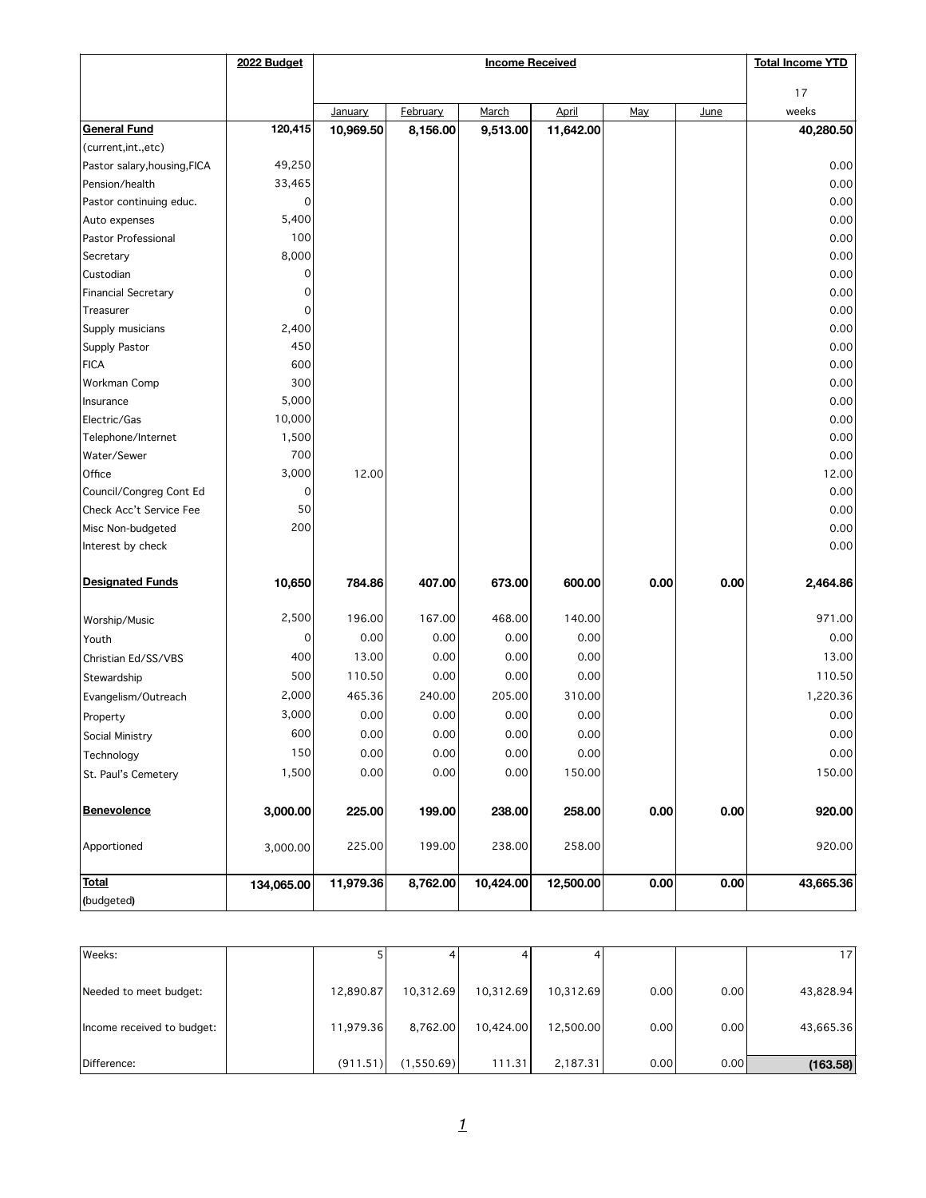|                              | 2022 Budget | <b>Income Received</b> |                 |           |           |      | <b>Total Income YTD</b> |           |
|------------------------------|-------------|------------------------|-----------------|-----------|-----------|------|-------------------------|-----------|
|                              |             |                        |                 |           |           | 17   |                         |           |
|                              |             | January                | <b>February</b> | March     | April     | May  | June                    | weeks     |
| <b>General Fund</b>          | 120,415     | 10,969.50              | 8,156.00        | 9,513.00  | 11,642.00 |      |                         | 40,280.50 |
| (current, int., etc)         |             |                        |                 |           |           |      |                         |           |
| Pastor salary, housing, FICA | 49,250      |                        |                 |           |           |      |                         | 0.00      |
| Pension/health               | 33,465      |                        |                 |           |           |      |                         | 0.00      |
| Pastor continuing educ.      | 0           |                        |                 |           |           |      |                         | 0.00      |
| Auto expenses                | 5,400       |                        |                 |           |           |      |                         | 0.00      |
| Pastor Professional          | 100         |                        |                 |           |           |      |                         | 0.00      |
| Secretary                    | 8,000       |                        |                 |           |           |      |                         | 0.00      |
| Custodian                    | 0           |                        |                 |           |           |      |                         | 0.00      |
| <b>Financial Secretary</b>   | 0           |                        |                 |           |           |      |                         | 0.00      |
| Treasurer                    | 0           |                        |                 |           |           |      |                         | 0.00      |
| Supply musicians             | 2,400       |                        |                 |           |           |      |                         | 0.00      |
| Supply Pastor                | 450         |                        |                 |           |           |      |                         | 0.00      |
| <b>FICA</b>                  | 600         |                        |                 |           |           |      |                         | 0.00      |
| Workman Comp                 | 300         |                        |                 |           |           |      |                         | 0.00      |
| Insurance                    | 5,000       |                        |                 |           |           |      |                         | 0.00      |
| Electric/Gas                 | 10,000      |                        |                 |           |           |      |                         | 0.00      |
| Telephone/Internet           | 1,500       |                        |                 |           |           |      |                         | 0.00      |
| Water/Sewer                  | 700         |                        |                 |           |           |      |                         | 0.00      |
| Office                       | 3,000       | 12.00                  |                 |           |           |      |                         | 12.00     |
| Council/Congreg Cont Ed      | 0           |                        |                 |           |           |      |                         | 0.00      |
| Check Acc't Service Fee      | 50          |                        |                 |           |           |      |                         | 0.00      |
| Misc Non-budgeted            | 200         |                        |                 |           |           |      |                         | 0.00      |
| Interest by check            |             |                        |                 |           |           |      |                         | 0.00      |
|                              |             |                        |                 |           |           |      |                         |           |
| <b>Designated Funds</b>      | 10,650      | 784.86                 | 407.00          | 673.00    | 600.00    | 0.00 | 0.00                    | 2,464.86  |
| Worship/Music                | 2,500       | 196.00                 | 167.00          | 468.00    | 140.00    |      |                         | 971.00    |
| Youth                        | 0           | 0.00                   | 0.00            | 0.00      | 0.00      |      |                         | 0.00      |
| Christian Ed/SS/VBS          | 400         | 13.00                  | 0.00            | 0.00      | 0.00      |      |                         | 13.00     |
| Stewardship                  | 500         | 110.50                 | 0.00            | 0.00      | 0.00      |      |                         | 110.50    |
| Evangelism/Outreach          | 2,000       | 465.36                 | 240.00          | 205.00    | 310.00    |      |                         | 1,220.36  |
| Property                     | 3,000       | 0.00                   | 0.00            | 0.00      | 0.00      |      |                         | 0.00      |
| Social Ministry              | 600         | 0.00                   | 0.00            | 0.00      | 0.00      |      |                         | 0.00      |
| Technology                   | 150         | 0.00                   | 0.00            | 0.00      | 0.00      |      |                         | 0.00      |
| St. Paul's Cemetery          | 1,500       | 0.00                   | 0.00            | 0.00      | 150.00    |      |                         | 150.00    |
|                              |             |                        |                 |           |           |      |                         |           |
| <b>Benevolence</b>           | 3,000.00    | 225.00                 | 199.00          | 238.00    | 258.00    | 0.00 | 0.00                    | 920.00    |
| Apportioned                  | 3,000.00    | 225.00                 | 199.00          | 238.00    | 258.00    |      |                         | 920.00    |
| <b>Total</b>                 | 134,065.00  | 11,979.36              | 8,762.00        | 10,424.00 | 12,500.00 | 0.00 | 0.00                    | 43,665.36 |
| (budgeted)                   |             |                        |                 |           |           |      |                         |           |

| lWeeks:                    |           |            |           |           |      |       | 171       |
|----------------------------|-----------|------------|-----------|-----------|------|-------|-----------|
| Needed to meet budget:     | 12,890.87 | 10,312.69  | 10,312.69 | 10,312.69 | 0.00 | 0.00  | 43,828.94 |
| Income received to budget: | 11,979.36 | 8,762.00   | 10,424.00 | 12,500.00 | 0.00 | 0.00  | 43,665.36 |
| Difference:                | (911.51)  | (1,550.69) | 111.31    | 2,187.31  | 0.00 | 0.001 | (163.58)  |